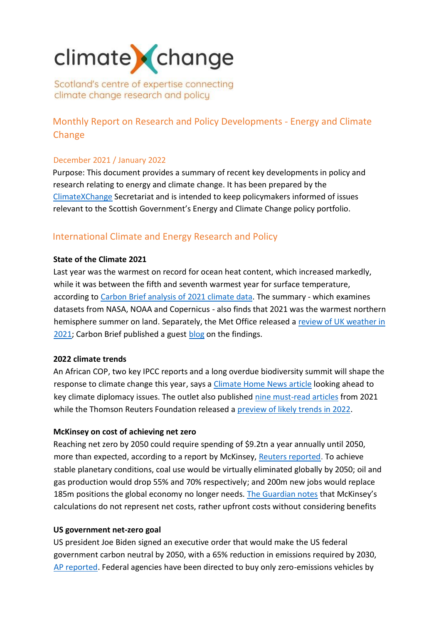# climate change

Scotland's centre of expertise connecting climate change research and policy

# Monthly Report on Research and Policy Developments - Energy and Climate Change

# December 2021 / January 2022

Purpose: This document provides a summary of recent key developments in policy and research relating to energy and climate change. It has been prepared by the [ClimateXChange](http://www.climatexchange.org.uk/) Secretariat and is intended to keep policymakers informed of issues relevant to the Scottish Government's Energy and Climate Change policy portfolio.

# International Climate and Energy Research and Policy

# **State of the Climate 2021**

Last year was the warmest on record for ocean heat content, which increased markedly, while it was between the fifth and seventh warmest year for surface temperature, according t[o Carbon Brief analysis of 2021 climate data.](https://www.carbonbrief.org/state-of-the-climate-how-the-world-warmed-in-2021) The summary - which examines datasets from NASA, NOAA and Copernicus - also finds that 2021 was the warmest northern hemisphere summer on land. Separately, the Met Office released a [review of UK weather in](https://www.metoffice.gov.uk/about-us/press-office/news/weather-and-climate/2021/2021-a-year-in-weather-a-review)  [2021;](https://www.metoffice.gov.uk/about-us/press-office/news/weather-and-climate/2021/2021-a-year-in-weather-a-review) Carbon Brief published a guest [blog](https://www.carbonbrief.org/met-office-a-review-of-the-uks-climate-in-2021) on the findings.

# **2022 climate trends**

An African COP, two key IPCC reports and a long overdue biodiversity summit will shape the response to climate change this year, says a [Climate Home News](https://www.climatechangenews.com/2022/01/05/watch-2022-critical-moments-issues-climate-diplomacy/) article looking ahead to key climate diplomacy issues. The outlet also published [nine must-read articles](https://www.climatechangenews.com/2021/12/28/nine-must-read-climate-change-stories-2021-around-world/) from 2021 while the Thomson Reuters Foundation released a [preview of likely trends in 2022.](https://news.trust.org/item/20220105124239-61z30)

# **McKinsey on cost of achieving net zero**

Reaching net zero by 2050 could require spending of \$9.2tn a year annually until 2050, more than expected, according to a report by McKinsey, [Reuters reported.](https://www.reuters.com/markets/commodities/bigger-spend-needed-net-zero-world-than-assumed-mckinsey-2022-01-25/) To achieve stable planetary conditions, coal use would be virtually eliminated globally by 2050; oil and gas production would drop 55% and 70% respectively; and 200m new jobs would replace 185m positions the global economy no longer needs. [The Guardian notes](https://www.theguardian.com/environment/2022/jan/25/transformation-global-economy-net-zero-mckinsey) that McKinsey's calculations do not represent net costs, rather upfront costs without considering benefits

# **US government net-zero goal**

US president Joe Biden signed an executive order that would make the US federal government carbon neutral by 2050, with a 65% reduction in emissions required by 2030, [AP reported.](https://apnews.com/article/climate-joe-biden-technology-business-environment-and-nature-caee9ef67c7274ee2a9399f5c9b1976e) Federal agencies have been directed to buy only zero-emissions vehicles by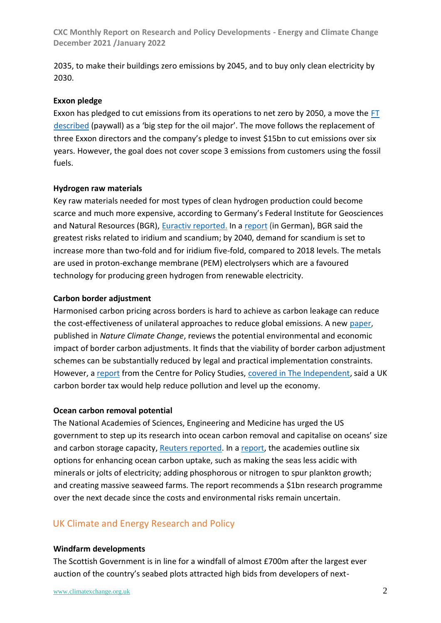2035, to make their buildings zero emissions by 2045, and to buy only clean electricity by 2030.

# **Exxon pledge**

Exxon has pledged to cut emissions from its operations to net zero by 2050, a move the [FT](https://www.ft.com/content/2aca4b93-aae2-40ea-a1be-9fcb6e4085c9) [described](https://www.ft.com/content/2aca4b93-aae2-40ea-a1be-9fcb6e4085c9) (paywall) as a 'big step for the oil major'. The move follows the replacement of three Exxon directors and the company's pledge to invest \$15bn to cut emissions over six years. However, the goal does not cover scope 3 emissions from customers using the fossil fuels.

# **Hydrogen raw materials**

Key raw materials needed for most types of clean hydrogen production could become scarce and much more expensive, according to Germany's Federal Institute for Geosciences and Natural Resources (BGR), [Euractiv reported.](https://www.euractiv.com/section/energy/news/metals-needed-for-hydrogen-production-could-get-scarce-german-authority-warns/C:/Users/v1vmarsh/Desktop/Metals%20needed%20for%20hydrogen%20production%20could%20get%20scarce,%20German%20authority%20warns%20–%20EURACTIV.com) In a [report](https://www.deutsche-rohstoffagentur.de/DERA/DE/Downloads/DERA%20Themenheft-01-22.pdf;jsessionid=CEF4AF826D5E40112BEA2B4A96D3ED40.1_cid331?__blob=publicationFile&v=2) (in German), BGR said the greatest risks related to iridium and scandium; by 2040, demand for scandium is set to increase more than two-fold and for iridium five-fold, compared to 2018 levels. The metals are used in proton-exchange membrane (PEM) electrolysers which are a favoured technology for producing green hydrogen from renewable electricity.

# **Carbon border adjustment**

Harmonised carbon pricing across borders is hard to achieve as carbon leakage can reduce the cost-effectiveness of unilateral approaches to reduce global emissions. A new [paper,](https://www.nature.com/articles/s41558-021-01250-z) published in *Nature Climate Change*, reviews the potential environmental and economic impact of border carbon adjustments. It finds that the viability of border carbon adjustment schemes can be substantially reduced by legal and practical implementation constraints. However, [a report](https://cps.org.uk/research/levelling-up-and-zeroing-in/) from the Centre for Policy Studies, [covered in The Independent,](https://www.independent.co.uk/climate-change/news/carbon-border-tax-cps-emissions-b1991038.html) said a UK carbon border tax would help reduce [pollution](https://www.independent.co.uk/topic/pollution) and level up the [economy.](https://www.independent.co.uk/topic/economy)

#### **Ocean carbon removal potential**

The National Academies of Sciences, Engineering and Medicine has urged the US government to step up its research into ocean carbon removal and capitalise on oceans' size and carbon storage capacity[, Reuters reported.](https://www.reuters.com/markets/commodities/oceans-hold-promise-climate-fighting-carbon-sinks-researchers-2021-12-08/) In a [report,](https://www.nap.edu/catalog/26278/a-research-strategy-for-ocean-based-carbon-dioxide-removal-and-sequestration) the academies outline six options for enhancing ocean carbon uptake, such as making the seas less acidic with minerals or jolts of electricity; adding phosphorous or nitrogen to spur plankton growth; and creating massive seaweed farms. The report recommends a \$1bn research programme over the next decade since the costs and environmental risks remain uncertain.

# UK Climate and Energy Research and Policy

#### **Windfarm developments**

The Scottish Government is in line for a windfall of almost £700m after the largest ever auction of the country's seabed plots attracted high bids from developers of next-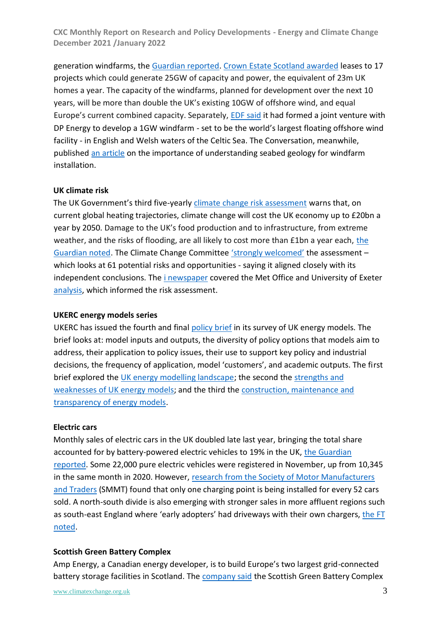generation windfarms, the [Guardian reported.](https://www.theguardian.com/business/2022/jan/17/scottish-government-windfarm-auction-scottish-power-shell-bp-sse) [Crown Estate Scotland awarded](https://www.crownestatescotland.com/news/scotwind-offshore-wind-leasing-delivers-major-boost-to-scotlands-net-zero-aspirations) leases to 17 projects which could generate 25GW of capacity and power, the equivalent of 23m UK homes a year. The capacity of the windfarms, planned for development over the next 10 years, will be more than double the UK's existing 10GW of offshore wind, and equal Europe's current combined capacity. Separately, [EDF said](https://www.edfenergy.com/media-centre/news-releases/edf-renewables-uk-partners-dp-energy) it had formed a joint venture with DP Energy to develop a 1GW windfarm - set to be the world's largest floating offshore wind facility - in English and Welsh waters of the Celtic Sea. The Conversation, meanwhile, published [an article](https://theconversation.com/to-harness-the-north-sea-winds-we-must-understand-its-complicated-seabed-geology-173710) on the importance of understanding seabed geology for windfarm installation.

# **UK climate risk**

The UK Government's third five-yearl[y climate change risk assessment](https://www.gov.uk/government/news/government-publishes-uks-third-climate-change-risk-assessment) warns that, on current global heating trajectories, climate change will cost the UK economy up to £20bn a year by 2050. Damage to the UK's food production and to infrastructure, from extreme weather, and [the](https://www.theguardian.com/environment/2022/jan/17/climate-crisis-1-percent-a-year-off-uk-economy-by-2045) risks of flooding, are all likely to cost more than £1bn a year each, the [Guardian noted.](https://www.theguardian.com/environment/2022/jan/17/climate-crisis-1-percent-a-year-off-uk-economy-by-2045) The Climate Change Committee ['strongly welcomed'](https://www.theccc.org.uk/2022/01/17/ccc-welcomes-government-report-assessing-uk-climate-risk/) the assessment – which looks at 61 potential risks and opportunities - saying it aligned closely with its independent conclusions. The [i newspaper](https://inews.co.uk/news/environment/cop26-planet-warm-4c-by-2100-climate-summit-pledges-1406250) covered the Met Office and University of Exeter [analysis,](https://www.exeter.ac.uk/news/research/title_893190_en.html) which informed the risk assessment.

#### **UKERC energy models series**

UKERC has issued the fourth and final [policy brief](https://d2e1qxpsswcpgz.cloudfront.net/uploads/2021/12/UKERC_BN_Energy-Modelling_Decision-making.pdf) in its survey of UK energy models. The brief looks at: model inputs and outputs, the diversity of policy options that models aim to address, their application to policy issues, their use to support key policy and industrial decisions, the frequency of application, model 'customers', and academic outputs. The first brief explored the [UK energy modelling landscape;](https://ukerc.ac.uk/publications/the-modelling-landscape) the second the [strengths and](https://ukerc.ac.uk/publications/modelling-strengths-weaknesses)  [weaknesses of UK energy models;](https://ukerc.ac.uk/publications/modelling-strengths-weaknesses) and the third the construction, maintenance and [transparency of energy models.](https://ukerc.ac.uk/publications/modelling-construction-transparency/)

# **Electric cars**

Monthly sales of electric cars in the UK doubled late last year, bringing the total share accounted for by battery-powered electric vehicles to 19% in the UK, [the Guardian](https://www.theguardian.com/business/2021/dec/06/electric-vehicle-boom-fuels-rise-in-uk-new-car-sales)  [reported.](https://www.theguardian.com/business/2021/dec/06/electric-vehicle-boom-fuels-rise-in-uk-new-car-sales) Some 22,000 pure electric vehicles were registered in November, up from 10,345 in the same month in 2020. However, [research from the Society of Motor Manufacturers](https://www.smmt.co.uk/2021/11/car-charging-point-numbers-fall-behind-as-plug-in-vehicles-surge/) [and Traders](https://www.smmt.co.uk/2021/11/car-charging-point-numbers-fall-behind-as-plug-in-vehicles-surge/) (SMMT) found that only one charging point is being installed for every 52 cars sold. A north-south divide is also emerging with stronger sales in more affluent regions such as south-east England where 'early adopters' had driveways with their own chargers, [the FT](https://www.ft.com/content/1054442f-f2d3-403c-8965-cec325cb5e08)  [noted.](https://www.ft.com/content/1054442f-f2d3-403c-8965-cec325cb5e08)

# **Scottish Green Battery Complex**

Amp Energy, a Canadian energy developer, is to build Europe's two largest grid-connected battery storage facilities in Scotland. The [company said](https://amp.energy/all-news/119-2022/233-amp-energy-announces-the-largest-battery-storage-facilities-in-europe-with-two-flagship-400-mw-projects-located-in-scotland-2) the Scottish Green Battery Complex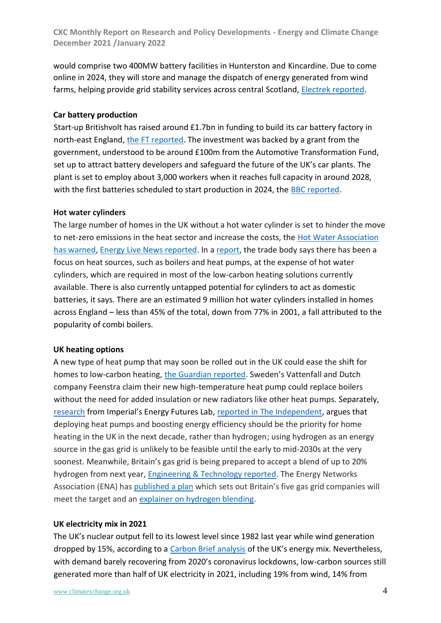would comprise two 400MW battery facilities in Hunterston and Kincardine. Due to come online in 2024, they will store and manage the dispatch of energy generated from wind farms, helping provide grid stability services across central Scotland, [Electrek reported.](https://electrek.co/2022/01/26/europes-largest-grid-connected-battery-storage-facilities-will-be-set-up-in-scotland/)

# **Car battery production**

Start-up Britishvolt has raised around £1.7bn in funding to build its car battery factory in north-east England, [the FT reported.](https://www.ft.com/content/96020ff3-4c01-41f7-9618-894fd65018d2) The investment was backed by a grant from the government, understood to be around £100m from the Automotive Transformation Fund, set up to attract battery developers and safeguard the future of the UK's car plants. The plant is set to employ about 3,000 workers when it reaches full capacity in around 2028, with the first batteries scheduled to start production in 2024, the [BBC reported.](https://www.bbc.co.uk/news/business-60066432)

# **Hot water cylinders**

The large number of homes in the UK without a hot water cylinder is set to hinder the move to net-zero emissions in the heat sector and increase the costs, the [Hot Water Association](https://www.hotwater.org.uk/18-million-homes-could-be-unable-to-decarbonise-heating/)  [has warned,](https://www.hotwater.org.uk/18-million-homes-could-be-unable-to-decarbonise-heating/) [Energy Live News reported.](https://www.energylivenews.com/2022/01/18/nearly-18m-british-homes-may-be-unable-to-decarbonise-heating/) In a [report,](https://hotwater.org.uk/uploads/6177D216E375E.pdf) the trade body says there has been a focus on heat sources, such as boilers and heat pumps, at the expense of hot water cylinders, which are required in most of the low-carbon heating solutions currently available. There is also currently untapped potential for cylinders to act as domestic batteries, it says. There are an estimated 9 million hot water cylinders installed in homes across England – less than 45% of the total, down from 77% in 2001, a fall attributed to the popularity of combi boilers.

#### **UK heating options**

A new type of heat pump that may soon be rolled out in the UK could ease the shift for homes to low-carbon heating[, the Guardian reported](https://www.theguardian.com/environment/2022/jan/07/new-heat-pump-could-ease-uk-shift-to-low-carbon-homes-say-developers). Sweden's Vattenfall and Dutch company Feenstra claim their new high-temperature heat pump could replace boilers without the need for added insulation or new radiators like other heat pumps. Separately, [research](https://www.imperial.ac.uk/energy-futures-lab/reports/briefing-papers/paper-8/) from Imperial's Energy Futures Lab, [reported in The Independent,](https://www.independent.co.uk/business/focus-on-deploying-heat-pumps-not-hydrogen-for-homes-this-decade-report-says-b2000745.html) argues that deploying heat pumps and boosting energy efficiency should be the priority for home heating in the UK in the next decade, rather than hydrogen; using hydrogen as an energy source in the gas grid is unlikely to be feasible until the early to mid-2030s at the very soonest. Meanwhile, Britain's gas grid is being prepared to accept a blend of up to 20% hydrogen from next year, [Engineering & Technology reported.](https://eandt.theiet.org/content/articles/2022/01/britain-s-gas-grid-preparing-to-accept-20-per-cent-hydrogen-mix-by-2023/) The Energy Networks Association (ENA) has [published a plan](https://www.energynetworks.org/newsroom/britains-gas-grid-ready-to-deliver-hydrogen-across-the-country-from-2023-energy-networks-announce) which sets out Britain's five gas grid companies will meet the target and an [explainer on hydrogen blending.](https://www.energynetworks.org/newsroom/h2explainer-what-next-for-hydrogen-blending)

# **UK electricity mix in 2021**

The UK's nuclear output fell to its lowest level since 1982 last year while wind generation dropped by 15%, according to a [Carbon Brief analysis](https://www.carbonbrief.org/analysis-uk-nuclear-output-falls-to-lowest-level-since-1982) of the UK's energy mix. Nevertheless, with demand barely recovering from 2020's coronavirus lockdowns, low-carbon sources still generated more than half of UK electricity in 2021, including 19% from wind, 14% from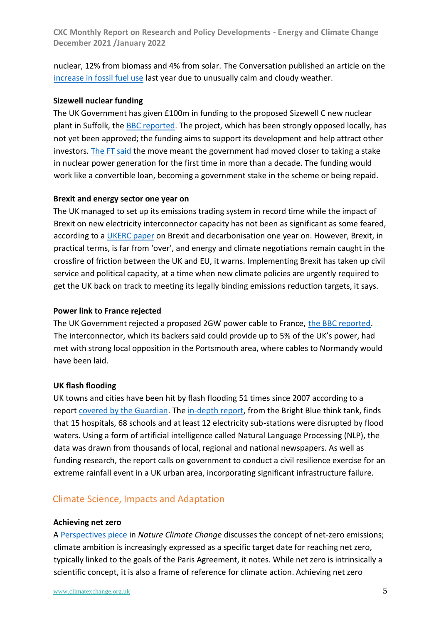nuclear, 12% from biomass and 4% from solar. The Conversation published an article on th[e](https://theconversation.com/unusually-calm-and-cloudy-weather-led-to-resurgence-in-fossil-fuel-use-in-2021-174573) [increase in fossil fuel use](https://theconversation.com/unusually-calm-and-cloudy-weather-led-to-resurgence-in-fossil-fuel-use-in-2021-174573) last year due to unusually calm and cloudy weather.

# **Sizewell nuclear funding**

The UK Government has given £100m in funding to the proposed Sizewell C new nuclear plant in Suffolk, the [BBC reported.](https://www.bbc.co.uk/news/business-60140854) The project, which has been strongly opposed locally, has not yet been approved; the funding aims to support its development and help attract other investors[. The FT said](https://www.ft.com/content/e941d822-2431-43ad-9b4c-911de5341f27) the move meant the government had moved closer to taking a stake in nuclear power generation for the first time in more than a decade. The funding would work like a convertible loan, becoming a government stake in the scheme or being repaid.

#### **Brexit and energy sector one year on**

The UK managed to set up its emissions trading system in record time while the impact of Brexit on new electricity interconnector capacity has not been as significant as some feared, according to a [UKERC paper](https://ukerc.ac.uk/publications/brexit-decarbonisation-1-year-on/) on Brexit and decarbonisation one year on. However, Brexit, in practical terms, is far from 'over', and energy and climate negotiations remain caught in the crossfire of friction between the UK and EU, it warns. Implementing Brexit has taken up civil service and political capacity, at a time when new climate policies are urgently required to get the UK back on track to meeting its legally binding emissions reduction targets, it says.

#### **Power link to France rejected**

The UK Government rejected a proposed 2GW power cable to France, [the BBC reported.](https://www.bbc.co.uk/news/uk-england-hampshire-60073706) The interconnector, which its backers said could provide up to 5% of the UK's power, had met with strong local opposition in the Portsmouth area, where cables to Normandy would have been laid.

#### **UK flash flooding**

UK towns and cities have been hit by flash flooding 51 times since 2007 according to a report [covered by the Guardian.](https://www.theguardian.com/environment/2022/jan/05/uk-towns-and-cities-hit-by-flash-flooding-51-times-since-2007) The [in-depth report,](http://www.brightblue.org.uk/wp-content/uploads/2022/01/In-deep-water.pdf) from the Bright Blue think tank, finds that 15 hospitals, 68 schools and at least 12 electricity sub-stations were disrupted by flood waters. Using a form of artificial intelligence called Natural Language Processing (NLP), the data was drawn from thousands of local, regional and national newspapers. As well as funding research, the report calls on government to conduct a civil resilience exercise for an extreme rainfall event in a UK urban area, incorporating significant infrastructure failure.

# Climate Science, Impacts and Adaptation

#### **Achieving net zero**

A [Perspectives piece](https://www.nature.com/articles/s41558-021-01245-w) in *Nature Climate Change* discusses the concept of net-zero emissions; climate ambition is increasingly expressed as a specific target date for reaching net zero, typically linked to the goals of the Paris Agreement, it notes. While net zero is intrinsically a scientific concept, it is also a frame of reference for climate action. Achieving net zero